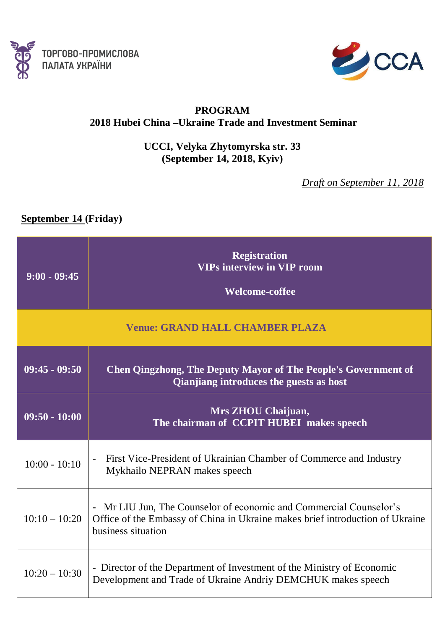



## **PROGRAM 2018 Hubei China –Ukraine Trade and Investment Seminar**

**UCCI, Velyka Zhytomyrska str. 33 (September 14, 2018, Kyiv)**

*Draft on September 11, 2018*

## **September 14 (Friday)**

| $9:00 - 09:45$  | <b>Registration</b><br><b>VIPs interview in VIP room</b><br><b>Welcome-coffee</b>                                                                                         |
|-----------------|---------------------------------------------------------------------------------------------------------------------------------------------------------------------------|
|                 | <b>Venue: GRAND HALL CHAMBER PLAZA</b>                                                                                                                                    |
| $09:45 - 09:50$ | <b>Chen Qingzhong, The Deputy Mayor of The People's Government of</b><br>Qianjiang introduces the guests as host                                                          |
| $09:50 - 10:00$ | Mrs ZHOU Chaijuan,<br>The chairman of CCPIT HUBEI makes speech                                                                                                            |
| $10:00 - 10:10$ | First Vice-President of Ukrainian Chamber of Commerce and Industry<br>Mykhailo NEPRAN makes speech                                                                        |
| $10:10 - 10:20$ | - Mr LIU Jun, The Counselor of economic and Commercial Counselor's<br>Office of the Embassy of China in Ukraine makes brief introduction of Ukraine<br>business situation |
| $10:20 - 10:30$ | - Director of the Department of Investment of the Ministry of Economic<br>Development and Trade of Ukraine Andriy DEMCHUK makes speech                                    |